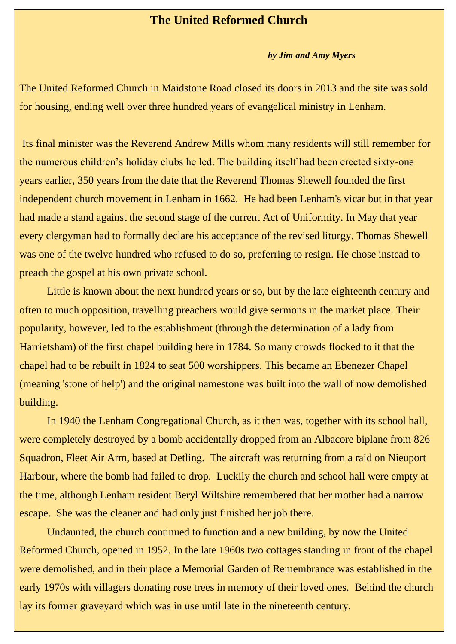## **The United Reformed Church**

## *by Jim and Amy Myers*

The United Reformed Church in Maidstone Road closed its doors in 2013 and the site was sold for housing, ending well over three hundred years of evangelical ministry in Lenham.

Its final minister was the Reverend Andrew Mills whom many residents will still remember for the numerous children's holiday clubs he led. The building itself had been erected sixty-one years earlier, 350 years from the date that the Reverend Thomas Shewell founded the first independent church movement in Lenham in 1662. He had been Lenham's vicar but in that year had made a stand against the second stage of the current Act of Uniformity. In May that year every clergyman had to formally declare his acceptance of the revised liturgy. Thomas Shewell was one of the twelve hundred who refused to do so, preferring to resign. He chose instead to preach the gospel at his own private school.

Little is known about the next hundred years or so, but by the late eighteenth century and often to much opposition, travelling preachers would give sermons in the market place. Their popularity, however, led to the establishment (through the determination of a lady from Harrietsham) of the first chapel building here in 1784. So many crowds flocked to it that the chapel had to be rebuilt in 1824 to seat 500 worshippers. This became an Ebenezer Chapel (meaning 'stone of help') and the original namestone was built into the wall of now demolished building.

In 1940 the Lenham Congregational Church, as it then was, together with its school hall, were completely destroyed by a bomb accidentally dropped from an Albacore biplane from 826 Squadron, Fleet Air Arm, based at Detling. The aircraft was returning from a raid on Nieuport Harbour, where the bomb had failed to drop. Luckily the church and school hall were empty at the time, although Lenham resident Beryl Wiltshire remembered that her mother had a narrow escape. She was the cleaner and had only just finished her job there.

Undaunted, the church continued to function and a new building, by now the United Reformed Church, opened in 1952. In the late 1960s two cottages standing in front of the chapel were demolished, and in their place a Memorial Garden of Remembrance was established in the early 1970s with villagers donating rose trees in memory of their loved ones. Behind the church lay its former graveyard which was in use until late in the nineteenth century.